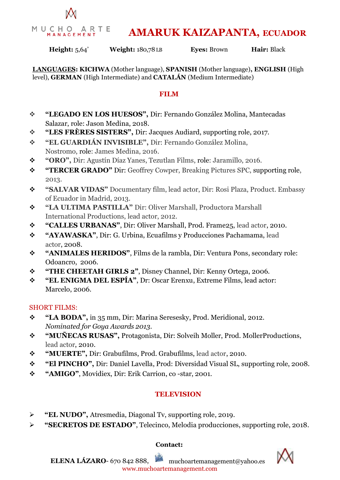

# **AMARUK KAIZAPANTA, ECUADOR**

**Height:** 5,64' **Weight:** 180,78 LB **Eyes:** Brown **Hair:** Black

**LANGUAGES: KICHWA** (Mother language), **SPANISH** (Mother language)**, ENGLISH** (High level), **GERMAN** (High Intermediate) and **CATALÁN** (Medium Intermediate)

## **FILM**

- **"LEGADO EN LOS HUESOS",** Dir: Fernando González Molina, Mantecadas Salazar, role: Jason Medina, 2018.
- **"LES FRÈRES SISTERS",** Dir: Jacques Audiard, supporting role, 2017.
- **"EL GUARDIÁN INVISIBLE",** Dir: Fernando González Molina, Nostromo, role: James Medina, 2016.
- **"ORO",** Dir: Agustín Díaz Yanes, Tezutlan Films, role: Jaramillo, 2016.
- **"TERCER GRADO"** Dir: Geoffrey Cowper, Breaking Pictures SPC, supporting role, 2013.
- **"SALVAR VIDAS"** Documentary film, lead actor, Dir: Rosi Plaza, Product. Embassy of Ecuador in Madrid, 2013.
- **"LA ULTIMA PASTILLA"** Dir: Oliver Marshall, Productora Marshall International Productions, lead actor, 2012.
- **"CALLES URBANAS"**, Dir: Oliver Marshall, Prod. Frame25, lead actor, 2010.
- **"AYAWASKA"**, Dir: G. Urbina, Ecuafilms y Producciones Pachamama, lead actor, 2008.
- **"ANIMALES HERIDOS"**, Films de la rambla, Dir: Ventura Pons, secondary role: Odoancro, 2006.
- **"THE CHEETAH GIRLS 2"**, Disney Channel, Dir: Kenny Ortega, 2006.
- **"EL ENIGMA DEL ESPÍA"**, Dr: Oscar Erenxu, Extreme Films, lead actor: Marcelo, 2006.

### SHORT FILMS:

- **"LA BODA",** in 35 mm, Dir: Marina Seresesky, Prod. Meridional, 2012. *Nominated for Goya Awards 2013.*
- **"MUÑECAS RUSAS",** Protagonista, Dir: Solveih Moller, Prod. MollerProductions, lead actor, 2010.
- **"MUERTE",** Dir: Grabufilms, Prod. Grabufilms, lead actor, 2010.
- **"El PINCHO",** Dir: Daniel Lavella, Prod: Diversidad Visual SL, supporting role, 2008.
- **"AMIGO"**, Movidiex, Dir: Erik Carrion, co -star, 2001.

# **TELEVISION**

- **"EL NUDO",** Atresmedia, Diagonal Tv, supporting role, 2019.
- **"SECRETOS DE ESTADO"**, Telecinco, Melodia producciones, supporting role, 2018.

### **Contact:**

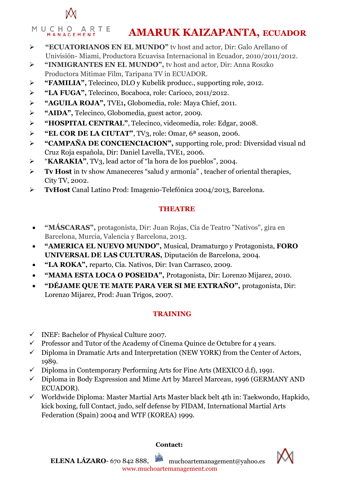

#### MUCHO ARTE **AMARUK KAIZAPANTA, ECUADOR**

- **"ECUATORIANOS EN EL MUNDO"** tv host and actor, Dir: Galo Arellano of Univisión- Miami, Productora Ecuavisa Internacional in Ecuador, 2010/2011/2012.
- **"INMIGRANTES EN EL MUNDO",** tv host and actor, Dir: Anna Roszko Productora Mitimae Film, Taripana TV in ECUADOR.
- **"FAMILIA",** Telecinco, DLO y Kubelik producc., supporting role, 2012.
- **"LA FUGA",** Telecinco, Bocaboca, role: Carioco, 2011/2012.
- **"AGUILA ROJA",** TVE1**,** Globomedia, role: Maya Chief, 2011.
- **"AIDA",** Telecinco, Globomedia, guest actor, 2009.
- **"HOSPITAL CENTRAL"**, Telecinco, videomedia, role: Edgar, 2008.
- **"EL COR DE LA CIUTAT"**, TV3, role: Omar, 6ª season, 2006.
- **"CAMPAÑA DE CONCIENCIACION",** supporting role, prod: Diversidad visual nd Cruz Roja española, Dir: Daniel Lavella, TVE1, 2006.
- "**KARAKIA"**, TV3, lead actor of "la hora de los pueblos", 2004.
- **Tv Host** in tv show Amaneceres "salud y armonía" , teacher of oriental therapies, City TV, 2002.
- **TvHost** Canal Latino Prod: Imagenio-Telefónica 2004/2013, Barcelona.

# **THEATRE**

- **"MÁSCARAS",** protagonista, Dir: Juan Rojas, Cía de Teatro "Nativos", gira en Barcelona, Murcia, Valencia y Barcelona, 2013.
- **"AMERICA EL NUEVO MUNDO",** Musical, Dramaturgo y Protagonista, **FORO UNIVERSAL DE LAS CULTURAS,** Diputación de Barcelona, 2004.
- **"LA ROKA",** reparto, Cía. Nativos, Dir: Ivan Carrasco, 2009.
- **"MAMA ESTA LOCA O POSEIDA",** Protagonista, Dir: Lorenzo Mijarez, 2010.
- **"DÉJAME QUE TE MATE PARA VER SI ME EXTRAÑO",** protagonista, Dir: Lorenzo Mijarez, Prod: Juan Trigos, 2007.

# **TRAINING**

- INEF: Bachelor of Physical Culture 2007.
- $\checkmark$  Professor and Tutor of the Academy of Cinema Quince de Octubre for 4 years.
- $\checkmark$  Diploma in Dramatic Arts and Interpretation (NEW YORK) from the Center of Actors, 1989.
- $\checkmark$  Diploma in Contemporary Performing Arts for Fine Arts (MEXICO d.f), 1991.
- $\checkmark$  Diploma in Body Expression and Mime Art by Marcel Marceau, 1996 (GERMANY AND ECUADOR).
- $\checkmark$  Worldwide Diploma: Master Martial Arts Master black belt 4th in: Taekwondo, Hapkido, kick boxing, full Contact, judo, self defense by FIDAM, International Martial Arts Federation (Spain) 2004 and WTF (KOREA) 1999.

**Contact:**